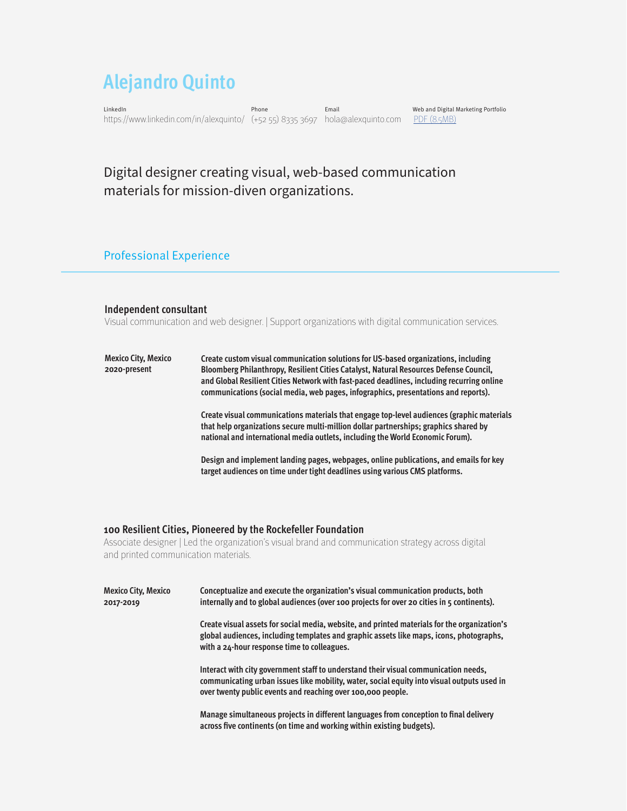# **Alejandro Quinto**

LinkedIn Phone Email Web and Digital Marketing Portfolio https://www.linkedin.com/in/alexquinto/ (+52 55) 8335 3697 hola@alexquinto.com [PDF \(8.5MB\)](https://alexquinto.com/wp-content/uploads/2022/03/portfolio-alexquinto-web-marketing.pdf)

# Digital designer creating visual, web-based communication materials for mission-diven organizations.

# Professional Experience

#### **Independent consultant**

Visual communication and web designer. | Support organizations with digital communication services.

| Mexico City, Mexico<br>2020-present | Create custom visual communication solutions for US-based organizations, including<br>Bloomberg Philanthropy, Resilient Cities Catalyst, Natural Resources Defense Council,<br>and Global Resilient Cities Network with fast-paced deadlines, including recurring online<br>communications (social media, web pages, infographics, presentations and reports). |
|-------------------------------------|----------------------------------------------------------------------------------------------------------------------------------------------------------------------------------------------------------------------------------------------------------------------------------------------------------------------------------------------------------------|
|                                     | Create visual communications materials that engage top-level audiences (graphic materials<br>that help organizations secure multi-million dollar partnerships; graphics shared by<br>national and international media outlets, including the World Economic Forum).                                                                                            |
|                                     | Design and implement landing pages, webpages, online publications, and emails for key<br>target audiences on time under tight deadlines using various CMS platforms.                                                                                                                                                                                           |

#### **100 Resilient Cities, Pioneered by the Rockefeller Foundation**

Associate designer | Led the organization's visual brand and communication strategy across digital and printed communication materials.

| <b>Mexico City, Mexico</b><br>2017-2019 | Conceptualize and execute the organization's visual communication products, both<br>internally and to global audiences (over 100 projects for over 20 cities in 5 continents).                                                                   |
|-----------------------------------------|--------------------------------------------------------------------------------------------------------------------------------------------------------------------------------------------------------------------------------------------------|
|                                         | Create visual assets for social media, website, and printed materials for the organization's<br>global audiences, including templates and graphic assets like maps, icons, photographs,<br>with a 24-hour response time to colleagues.           |
|                                         | Interact with city government staff to understand their visual communication needs,<br>communicating urban issues like mobility, water, social equity into visual outputs used in<br>over twenty public events and reaching over 100,000 people. |
|                                         | Manage simultaneous projects in different languages from conception to final delivery<br>across five continents (on time and working within existing budgets).                                                                                   |